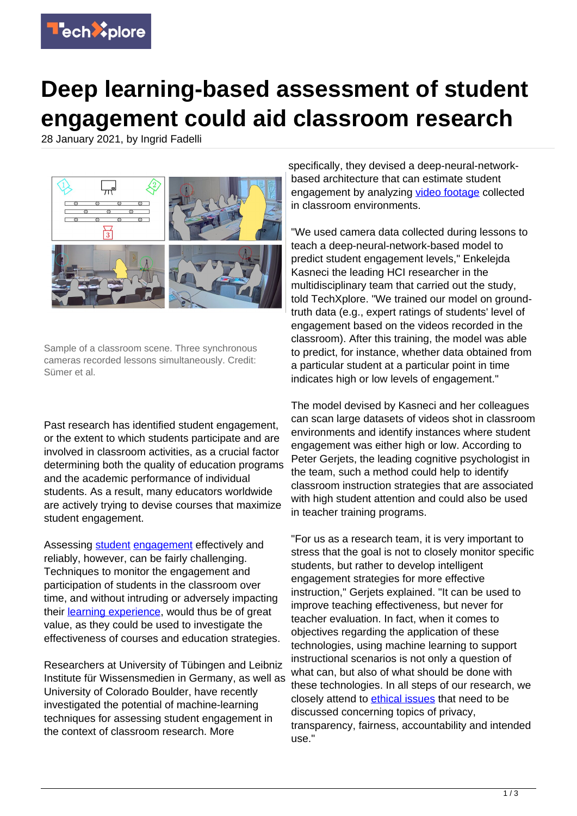

## **Deep learning-based assessment of student engagement could aid classroom research**

28 January 2021, by Ingrid Fadelli



Sample of a classroom scene. Three synchronous cameras recorded lessons simultaneously. Credit: Sümer et al.

Past research has identified student engagement, or the extent to which students participate and are involved in classroom activities, as a crucial factor determining both the quality of education programs and the academic performance of individual students. As a result, many educators worldwide are actively trying to devise courses that maximize student engagement.

Assessing [student](https://techxplore.com/tags/student/) [engagement](https://techxplore.com/tags/engagement/) effectively and reliably, however, can be fairly challenging. Techniques to monitor the engagement and participation of students in the classroom over time, and without intruding or adversely impacting their [learning experience,](https://techxplore.com/tags/learning+experience/) would thus be of great value, as they could be used to investigate the effectiveness of courses and education strategies.

Researchers at University of Tübingen and Leibniz Institute für Wissensmedien in Germany, as well as University of Colorado Boulder, have recently investigated the potential of machine-learning techniques for assessing student engagement in the context of classroom research. More

specifically, they devised a deep-neural-networkbased architecture that can estimate student engagement by analyzing [video footage](https://techxplore.com/tags/video+footage/) collected in classroom environments.

"We used camera data collected during lessons to teach a deep-neural-network-based model to predict student engagement levels," Enkelejda Kasneci the leading HCI researcher in the multidisciplinary team that carried out the study, told TechXplore. "We trained our model on groundtruth data (e.g., expert ratings of students' level of engagement based on the videos recorded in the classroom). After this training, the model was able to predict, for instance, whether data obtained from a particular student at a particular point in time indicates high or low levels of engagement."

The model devised by Kasneci and her colleagues can scan large datasets of videos shot in classroom environments and identify instances where student engagement was either high or low. According to Peter Gerjets, the leading cognitive psychologist in the team, such a method could help to identify classroom instruction strategies that are associated with high student attention and could also be used in teacher training programs.

"For us as a research team, it is very important to stress that the goal is not to closely monitor specific students, but rather to develop intelligent engagement strategies for more effective instruction," Gerjets explained. "It can be used to improve teaching effectiveness, but never for teacher evaluation. In fact, when it comes to objectives regarding the application of these technologies, using machine learning to support instructional scenarios is not only a question of what can, but also of what should be done with these technologies. In all steps of our research, we closely attend to [ethical issues](https://techxplore.com/tags/ethical+issues/) that need to be discussed concerning topics of privacy, transparency, fairness, accountability and intended use."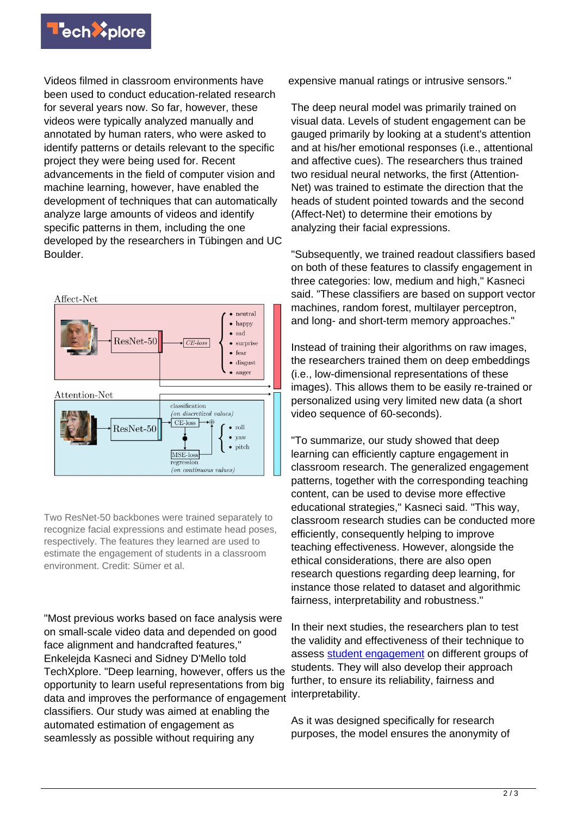

Videos filmed in classroom environments have been used to conduct education-related research for several years now. So far, however, these videos were typically analyzed manually and annotated by human raters, who were asked to identify patterns or details relevant to the specific project they were being used for. Recent advancements in the field of computer vision and machine learning, however, have enabled the development of techniques that can automatically analyze large amounts of videos and identify specific patterns in them, including the one developed by the researchers in Tübingen and UC Boulder.



Two ResNet-50 backbones were trained separately to recognize facial expressions and estimate head poses, respectively. The features they learned are used to estimate the engagement of students in a classroom environment. Credit: Sümer et al.

"Most previous works based on face analysis were on small-scale video data and depended on good face alignment and handcrafted features," Enkelejda Kasneci and Sidney D'Mello told TechXplore. "Deep learning, however, offers us the opportunity to learn useful representations from big data and improves the performance of engagement classifiers. Our study was aimed at enabling the automated estimation of engagement as seamlessly as possible without requiring any

expensive manual ratings or intrusive sensors."

The deep neural model was primarily trained on visual data. Levels of student engagement can be gauged primarily by looking at a student's attention and at his/her emotional responses (i.e., attentional and affective cues). The researchers thus trained two residual neural networks, the first (Attention-Net) was trained to estimate the direction that the heads of student pointed towards and the second (Affect-Net) to determine their emotions by analyzing their facial expressions.

"Subsequently, we trained readout classifiers based on both of these features to classify engagement in three categories: low, medium and high," Kasneci said. "These classifiers are based on support vector machines, random forest, multilayer perceptron, and long- and short-term memory approaches."

Instead of training their algorithms on raw images, the researchers trained them on deep embeddings (i.e., low-dimensional representations of these images). This allows them to be easily re-trained or personalized using very limited new data (a short video sequence of 60-seconds).

"To summarize, our study showed that deep learning can efficiently capture engagement in classroom research. The generalized engagement patterns, together with the corresponding teaching content, can be used to devise more effective educational strategies," Kasneci said. "This way, classroom research studies can be conducted more efficiently, consequently helping to improve teaching effectiveness. However, alongside the ethical considerations, there are also open research questions regarding deep learning, for instance those related to dataset and algorithmic fairness, interpretability and robustness."

In their next studies, the researchers plan to test the validity and effectiveness of their technique to assess [student engagement](https://techxplore.com/tags/student+engagement/) on different groups of students. They will also develop their approach further, to ensure its reliability, fairness and interpretability.

As it was designed specifically for research purposes, the model ensures the anonymity of